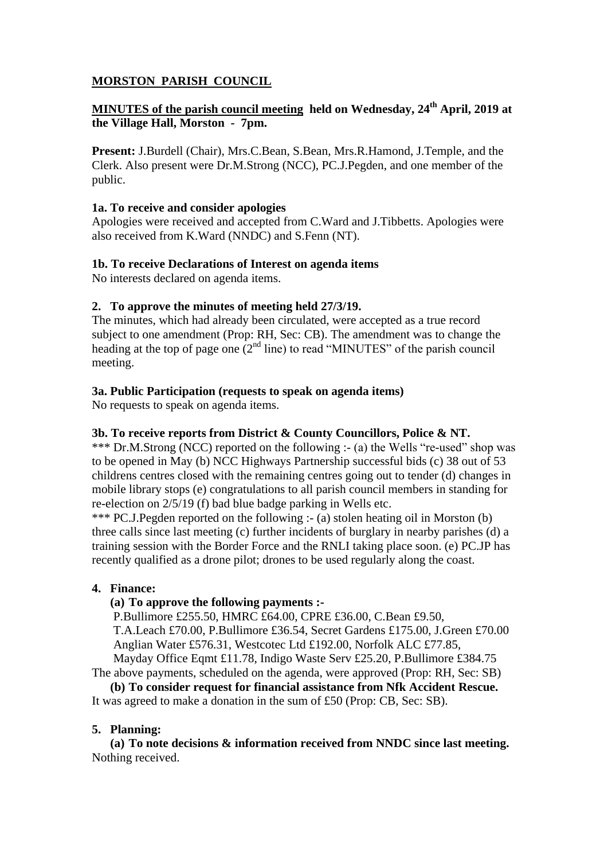# **MORSTON PARISH COUNCIL**

# **MINUTES of the parish council meeting held on Wednesday, 24th April, 2019 at the Village Hall, Morston - 7pm.**

**Present:** J.Burdell (Chair), Mrs.C.Bean, S.Bean, Mrs.R.Hamond, J.Temple, and the Clerk. Also present were Dr.M.Strong (NCC), PC.J.Pegden, and one member of the public.

### **1a. To receive and consider apologies**

Apologies were received and accepted from C.Ward and J.Tibbetts. Apologies were also received from K.Ward (NNDC) and S.Fenn (NT).

### **1b. To receive Declarations of Interest on agenda items**

No interests declared on agenda items.

## **2. To approve the minutes of meeting held 27/3/19.**

The minutes, which had already been circulated, were accepted as a true record subject to one amendment (Prop: RH, Sec: CB). The amendment was to change the heading at the top of page one (2<sup>nd</sup> line) to read "MINUTES" of the parish council meeting.

## **3a. Public Participation (requests to speak on agenda items)**

No requests to speak on agenda items.

### **3b. To receive reports from District & County Councillors, Police & NT.**

\*\*\* Dr.M.Strong (NCC) reported on the following :- (a) the Wells "re-used" shop was to be opened in May (b) NCC Highways Partnership successful bids (c) 38 out of 53 childrens centres closed with the remaining centres going out to tender (d) changes in mobile library stops (e) congratulations to all parish council members in standing for re-election on 2/5/19 (f) bad blue badge parking in Wells etc.

\*\*\* PC.J.Pegden reported on the following :- (a) stolen heating oil in Morston (b) three calls since last meeting (c) further incidents of burglary in nearby parishes (d) a training session with the Border Force and the RNLI taking place soon. (e) PC.JP has recently qualified as a drone pilot; drones to be used regularly along the coast.

## **4. Finance:**

## **(a) To approve the following payments :-**

P.Bullimore £255.50, HMRC £64.00, CPRE £36.00, C.Bean £9.50, T.A.Leach £70.00, P.Bullimore £36.54, Secret Gardens £175.00, J.Green £70.00 Anglian Water £576.31, Westcotec Ltd £192.00, Norfolk ALC £77.85, Mayday Office Eqmt £11.78, Indigo Waste Serv £25.20, P.Bullimore £384.75

The above payments, scheduled on the agenda, were approved (Prop: RH, Sec: SB)

**(b) To consider request for financial assistance from Nfk Accident Rescue.** It was agreed to make a donation in the sum of £50 (Prop: CB, Sec: SB).

## **5. Planning:**

**(a) To note decisions & information received from NNDC since last meeting.** Nothing received.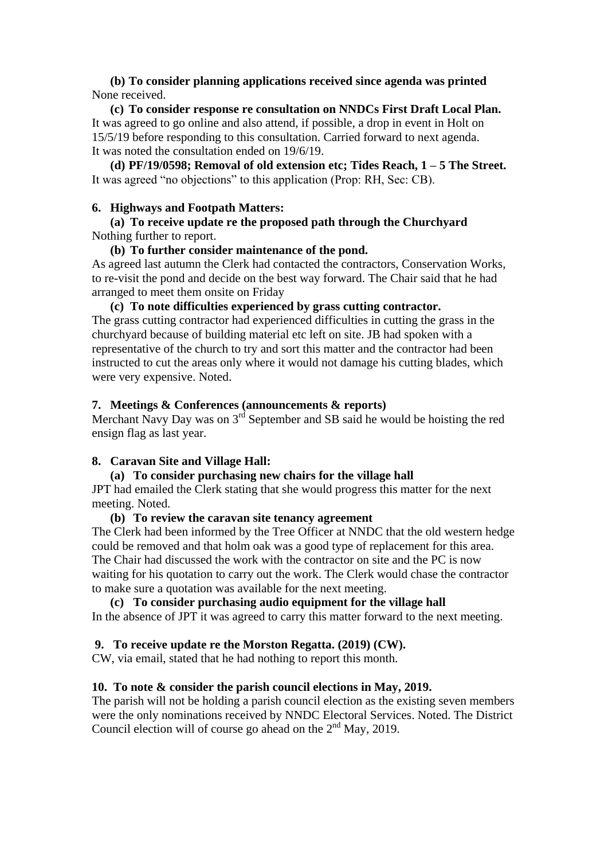### **(b) To consider planning applications received since agenda was printed** None received.

**(c) To consider response re consultation on NNDCs First Draft Local Plan.** It was agreed to go online and also attend, if possible, a drop in event in Holt on 15/5/19 before responding to this consultation. Carried forward to next agenda. It was noted the consultation ended on 19/6/19.

**(d) PF/19/0598; Removal of old extension etc; Tides Reach, 1 – 5 The Street.** It was agreed "no objections" to this application (Prop: RH, Sec: CB).

#### **6. Highways and Footpath Matters:**

### **(a) To receive update re the proposed path through the Churchyard** Nothing further to report.

#### **(b) To further consider maintenance of the pond.**

As agreed last autumn the Clerk had contacted the contractors, Conservation Works, to re-visit the pond and decide on the best way forward. The Chair said that he had arranged to meet them onsite on Friday

#### **(c) To note difficulties experienced by grass cutting contractor.**

The grass cutting contractor had experienced difficulties in cutting the grass in the churchyard because of building material etc left on site. JB had spoken with a representative of the church to try and sort this matter and the contractor had been instructed to cut the areas only where it would not damage his cutting blades, which were very expensive. Noted.

#### **7. Meetings & Conferences (announcements & reports)**

Merchant Navy Day was on  $3<sup>rd</sup>$  September and SB said he would be hoisting the red ensign flag as last year.

### **8. Caravan Site and Village Hall:**

### **(a) To consider purchasing new chairs for the village hall**

JPT had emailed the Clerk stating that she would progress this matter for the next meeting. Noted.

#### **(b) To review the caravan site tenancy agreement**

The Clerk had been informed by the Tree Officer at NNDC that the old western hedge could be removed and that holm oak was a good type of replacement for this area. The Chair had discussed the work with the contractor on site and the PC is now waiting for his quotation to carry out the work. The Clerk would chase the contractor to make sure a quotation was available for the next meeting.

#### **(c) To consider purchasing audio equipment for the village hall**

In the absence of JPT it was agreed to carry this matter forward to the next meeting.

### **9. To receive update re the Morston Regatta. (2019) (CW).**

CW, via email, stated that he had nothing to report this month.

### **10. To note & consider the parish council elections in May, 2019.**

The parish will not be holding a parish council election as the existing seven members were the only nominations received by NNDC Electoral Services. Noted. The District Council election will of course go ahead on the 2<sup>nd</sup> May, 2019.